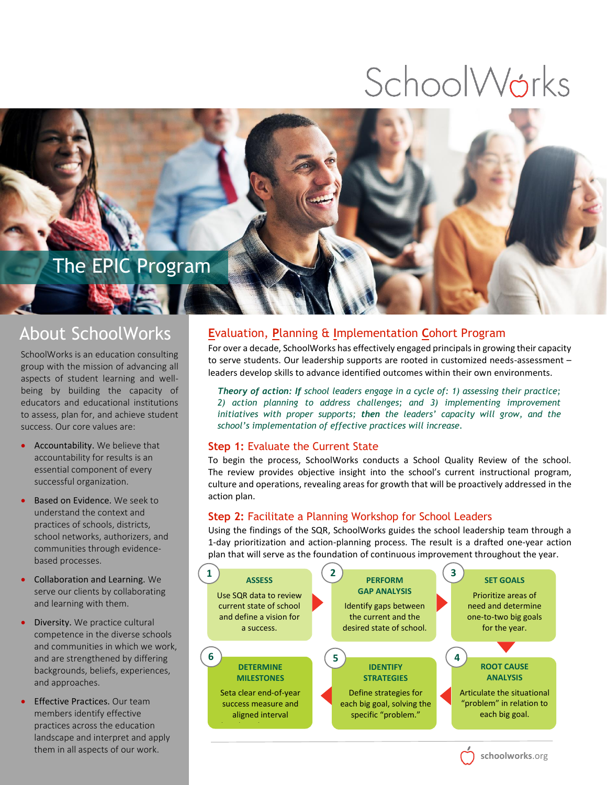# SchoolWorks

# The EPIC Program

## About SchoolWorks

aspects of student learning and well-SchoolWorks is an education consulting group with the mission of advancing all being by building the capacity of educators and educational institutions to assess, plan for, and achieve student success. Our core values are:

- Accountability. We believe that accountability for results is an essential component of every successful organization.
- Based on Evidence. We seek to understand the context and practices of schools, districts, school networks, authorizers, and communities through evidencebased processes.
- Collaboration and Learning. We serve our clients by collaborating and learning with them.
- Diversity. We practice cultural competence in the diverse schools and communities in which we work, and are strengthened by differing backgrounds, beliefs, experiences, and approaches.
- **Effective Practices. Our team** members identify effective practices across the education landscape and interpret and apply them in all aspects of our work.

#### **E**valuation, **P**lanning & **I**mplementation **C**ohort Program

For over a decade, SchoolWorks has effectively engaged principals in growing their capacity to serve students. Our leadership supports are rooted in customized needs-assessment – leaders develop skills to advance identified outcomes within their own environments.

*Theory of action: If school leaders engage in a cycle of: 1) assessing their practice; 2) action planning to address challenges; and 3) implementing improvement initiatives with proper supports; then the leaders' capacity will grow, and the school's implementation of effective practices will increase.* 

#### **Step 1:** Evaluate the Current State

To begin the process, SchoolWorks conducts a School Quality Review of the school. The review provides objective insight into the school's current instructional program, culture and operations, revealing areas for growth that will be proactively addressed in the action plan.

#### **Step 2:** Facilitate a Planning Workshop for School Leaders

Using the findings of the SQR, SchoolWorks guides the school leadership team through a 1-day prioritization and action-planning process. The result is a drafted one-year action plan that will serve as the foundation of continuous improvement throughout the year.